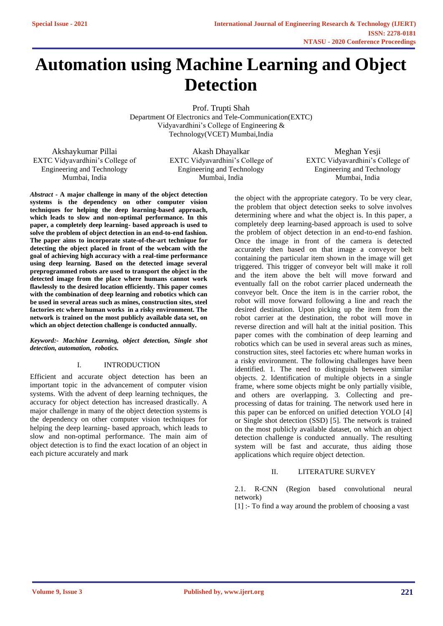# **Automation using Machine Learning and Object Detection**

Prof. Trupti Shah Department Of Electronics and Tele-Communication(EXTC) Vidyavardhini's College of Engineering & Technology(VCET) Mumbai,India

Akshaykumar Pillai EXTC Vidyavardhini's College of Engineering and Technology Mumbai, Indi[a](mailto:contactakshayp@gmail.com)

Akash Dhayalkar EXTC Vidyavardhini's College of Engineering and Technology Mumbai, India

Meghan Yesji EXTC Vidyavardhini's College of Engineering and Technology Mumbai, India

*Abstract* **- A major challenge in many of the object detection systems is the dependency on other computer vision techniques for helping the deep learning-based approach, which leads to slow and non-optimal performance. In this paper, a completely deep learning- based approach is used to solve the problem of object detection in an end-to-end fashion. The paper aims to incorporate state-of-the-art technique for detecting the object placed in front of the webcam with the goal of achieving high accuracy with a real-time performance using deep learning. Based on the detected image several preprogrammed robots are used to transport the object in the detected image from the place where humans cannot work flawlessly to the desired location efficiently. This paper comes with the combination of deep learning and robotics which can be used in several areas such as mines, construction sites, steel factories etc where human works in a risky environment. The network is trained on the most publicly available data set, on which an object detection challenge is conducted annually.**

*Keyword:- Machine Learning, object detection, Single shot detection, automation, robotics.*

# I. INTRODUCTION

Efficient and accurate object detection has been an important topic in the advancement of computer vision systems. With the advent of deep learning techniques, the accuracy for object detection has increased drastically. A major challenge in many of the object detection systems is the dependency on other computer vision techniques for helping the deep learning- based approach, which leads to slow and non-optimal performance. The main aim of object detection is to find the exact location of an object in each picture accurately and mark

the object with the appropriate category. To be very clear, the problem that object detection seeks to solve involves determining where and what the object is. In this paper, a completely deep learning-based approach is used to solve the problem of object detection in an end-to-end fashion. Once the image in front of the camera is detected accurately then based on that image a conveyor belt containing the particular item shown in the image will get triggered. This trigger of conveyor belt will make it roll and the item above the belt will move forward and eventually fall on the robot carrier placed underneath the conveyor belt. Once the item is in the carrier robot, the robot will move forward following a line and reach the desired destination. Upon picking up the item from the robot carrier at the destination, the robot will move in reverse direction and will halt at the initial position. This paper comes with the combination of deep learning and robotics which can be used in several areas such as mines, construction sites, steel factories etc where human works in a risky environment. The following challenges have been identified. 1. The need to distinguish between similar objects. 2. Identification of multiple objects in a single frame, where some objects might be only partially visible, and others are overlapping. 3. Collecting and preprocessing of datas for training. The network used here in this paper can be enforced on unified detection YOLO [4] or Single shot detection (SSD) [5]. The network is trained on the most publicly available dataset, on which an object detection challenge is conducted annually. The resulting system will be fast and accurate, thus aiding those applications which require object detection.

# II. LITERATURE SURVEY

2.1. R-CNN (Region based convolutional neural network)

[1] :- To find a way around the problem of choosing a vast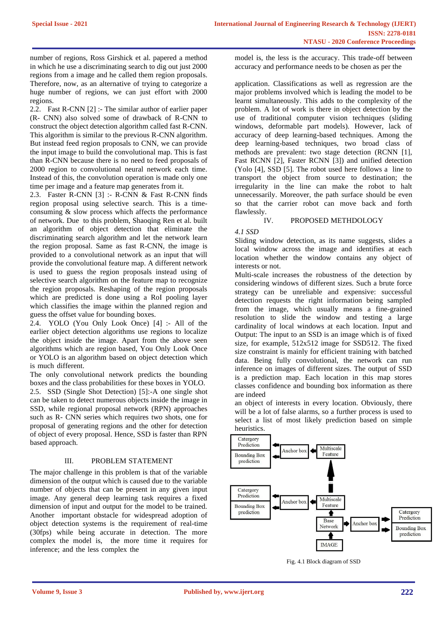number of regions, Ross Girshick et al. papered a method in which he use a discriminating search to dig out just 2000 regions from a image and he called them region proposals. Therefore, now, as an alternative of trying to categorize a huge number of regions, we can just effort with 2000 regions.

2.2. Fast R-CNN [2] :- The similar author of earlier paper (R- CNN) also solved some of drawback of R-CNN to construct the object detection algorithm called fast R-CNN. This algorithm is similar to the previous R-CNN algorithm. But instead feed region proposals to CNN, we can provide the input image to build the convolutional map. This is fast than R-CNN because there is no need to feed proposals of 2000 region to convolutional neural network each time. Instead of this, the convolution operation is made only one time per image and a feature map generates from it.

2.3. Faster R-CNN [3] :- R-CNN & Fast R-CNN finds region proposal using selective search. This is a timeconsuming & slow process which affects the performance of network. Due to this problem, Shaoqing Ren et al. built an algorithm of object detection that eliminate the discriminating search algorithm and let the network learn the region proposal. Same as fast R-CNN, the image is provided to a convolutional network as an input that will provide the convolutional feature map. A different network is used to guess the region proposals instead using of selective search algorithm on the feature map to recognize the region proposals. Reshaping of the region proposals which are predicted is done using a RoI pooling layer which classifies the image within the planned region and guess the offset value for bounding boxes.

2.4. YOLO (You Only Look Once) [4] :- All of the earlier object detection algorithms use regions to localize the object inside the image. Apart from the above seen algorithms which are region based, You Only Look Once or YOLO is an algorithm based on object detection which is much different.

The only convolutional network predicts the bounding boxes and the class probabilities for these boxes in YOLO. 2.5. SSD (Single Shot Detection) [5]:-A one single shot can be taken to detect numerous objects inside the image in SSD, while regional proposal network (RPN) approaches such as R- CNN series which requires two shots, one for proposal of generating regions and the other for detection of object of every proposal. Hence, SSD is faster than RPN based approach.

# III. PROBLEM STATEMENT

The major challenge in this problem is that of the variable dimension of the output which is caused due to the variable number of objects that can be present in any given input image. Any general deep learning task requires a fixed dimension of input and output for the model to be trained. Another important obstacle for widespread adoption of object detection systems is the requirement of real-time (30fps) while being accurate in detection. The more complex the model is, the more time it requires for inference; and the less complex the

model is, the less is the accuracy. This trade-off between accuracy and performance needs to be chosen as per the

application. Classifications as well as regression are the major problems involved which is leading the model to be learnt simultaneously. This adds to the complexity of the problem. A lot of work is there in object detection by the use of traditional computer vision techniques (sliding windows, deformable part models). However, lack of accuracy of deep learning-based techniques. Among the deep learning-based techniques, two broad class of methods are prevalent: two stage detection (RCNN [1], Fast RCNN [2], Faster RCNN [3]) and unified detection (Yolo [4], SSD [5]. The robot used here follows a line to transport the object from source to destination; the irregularity in the line can make the robot to halt unnecessarily. Moreover, the path surface should be even so that the carrier robot can move back and forth flawlessly.

# IV. PROPOSED METHDOLOGY

# *4.1 SSD*

Sliding window detection, as its name suggests, slides a local window across the image and identifies at each location whether the window contains any object of interests or not.

Multi-scale increases the robustness of the detection by considering windows of different sizes. Such a brute force strategy can be unreliable and expensive: successful detection requests the right information being sampled from the image, which usually means a fine-grained resolution to slide the window and testing a large cardinality of local windows at each location. Input and Output: The input to an SSD is an image which is of fixed size, for example, 512x512 image for SSD512. The fixed size constraint is mainly for efficient training with batched data. Being fully convolutional, the network can run inference on images of different sizes. The output of SSD is a prediction map. Each location in this map stores classes confidence and bounding box information as there are indeed

an object of interests in every location. Obviously, there will be a lot of false alarms, so a further process is used to select a list of most likely prediction based on simple heuristics.



Fig. 4.1 Block diagram of SSD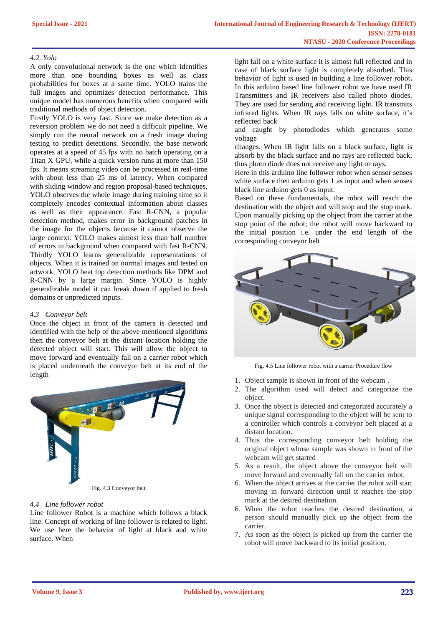#### *4.2. Yolo*

A only convolutional network is the one which identifies more than one bounding boxes as well as class probabilities for boxes at a same time. YOLO trains the full images and optimizes detection performance. This unique model has numerous benefits when compared with traditional methods of object detection.

Firstly YOLO is very fast. Since we make detection as a reversion problem we do not need a difficult pipeline. We simply run the neural network on a fresh image during testing to predict detections. Secondly, the base network operates at a speed of 45 fps with no batch operating on a Titan X GPU, while a quick version runs at more than 150 fps. It means streaming video can be processed in real-time with about less than 25 ms of latency. When compared with sliding window and region proposal-based techniques, YOLO observes the whole image during training time so it completely encodes contextual information about classes as well as their appearance. Fast R-CNN, a popular detection method, makes error in background patches in the image for the objects because it cannot observe the large context. YOLO makes almost less than half number of errors in background when compared with fast R-CNN. Thirdly YOLO learns generalizable representations of objects. When it is trained on normal images and tested on artwork, YOLO beat top detection methods like DPM and R-CNN by a large margin. Since YOLO is highly generalizable model it can break down if applied to fresh domains or unpredicted inputs.

#### *4.3 Conveyor belt*

Once the object in front of the camera is detected and identified with the help of the above mentioned algorithms then the conveyor belt at the distant location holding the detected object will start. This will allow the object to move forward and eventually fall on a carrier robot which is placed underneath the conveyor belt at its end of the length



# *4.4 Line follower robot*

Line follower Robot is a machine which follows a black line. Concept of working of line follower is related to light. We use here the behavior of light at black and white surface. When

light fall on a white surface it is almost full reflected and in case of black surface light is completely absorbed. This behavior of light is used in building a line follower robot**.**  In this arduino based line follower robot we have used IR Transmitters and IR receivers also called photo diodes. They are used for sending and receiving light. IR transmits infrared lights. When IR rays falls on white surface, it's reflected back

and caught by photodiodes which generates some voltage

changes. When IR light falls on a black surface, light is absorb by the black surface and no rays are reflected back, thus photo diode does not receive any light or rays.

Here in this arduino line follower robot when sensor senses white surface then arduino gets 1 as input and when senses black line arduino gets 0 as input.

Based on these fundamentals, the robot will reach the destination with the object and will stop and the stop mark. Upon manually picking up the object from the carrier at the stop point of the robot; the robot will move backward to the initial position i.e. under the end length of the corresponding conveyor belt



Fig. 4.5 Line follower robot with a carrier Procedure flow

- 1. Object sample is shown in front of the webcam .
- 2. The algorithm used will detect and categorize the object.
- 3. Once the object is detected and categorized accurately a unique signal corresponding to the object will be sent to a controller which controls a conveyor belt placed at a distant location.
- 4. Thus the corresponding conveyor belt holding the original object whose sample was shown in front of the webcam will get started
- 5. As a result, the object above the conveyor belt will move forward and eventually fall on the carrier robot.
- 6. When the object arrives at the carrier the robot will start moving in forward direction until it reaches the stop mark at the desired destination.
- 6. When the robot reaches the desired destination, a person should manually pick up the object from the carrier.
- 7. As soon as the object is picked up from the carrier the robot will move backward to its initial position.